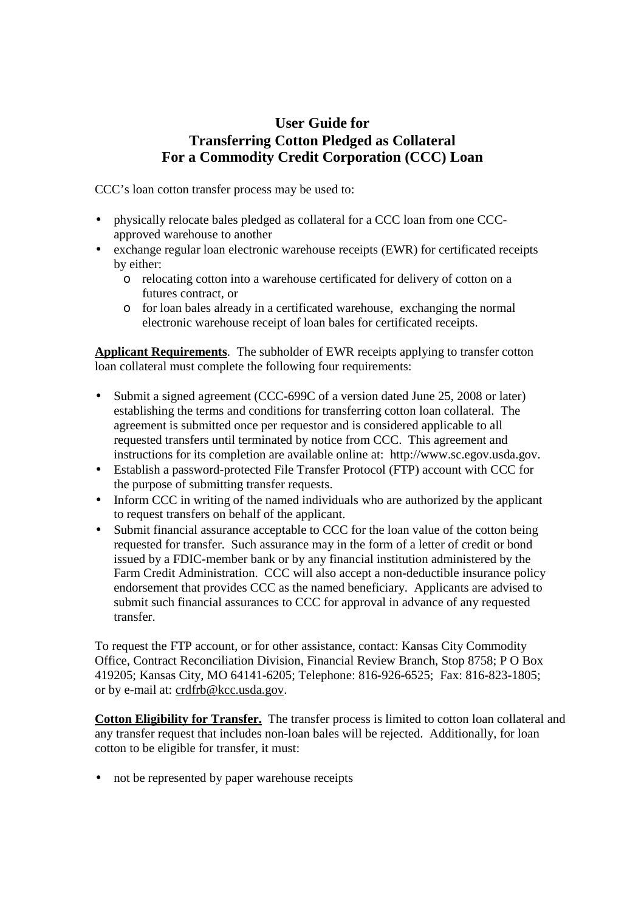## **User Guide for Transferring Cotton Pledged as Collateral For a Commodity Credit Corporation (CCC) Loan**

CCC's loan cotton transfer process may be used to:

- physically relocate bales pledged as collateral for a CCC loan from one CCCapproved warehouse to another
- exchange regular loan electronic warehouse receipts (EWR) for certificated receipts by either:
	- o relocating cotton into a warehouse certificated for delivery of cotton on a futures contract, or
	- o for loan bales already in a certificated warehouse, exchanging the normal electronic warehouse receipt of loan bales for certificated receipts.

**Applicant Requirements**. The subholder of EWR receipts applying to transfer cotton loan collateral must complete the following four requirements:

- Submit a signed agreement (CCC-699C of a version dated June 25, 2008 or later) establishing the terms and conditions for transferring cotton loan collateral. The agreement is submitted once per requestor and is considered applicable to all requested transfers until terminated by notice from CCC. This agreement and instructions for its completion are available online at: http://www.sc.egov.usda.gov.
- Establish a password-protected File Transfer Protocol (FTP) account with CCC for the purpose of submitting transfer requests.
- Inform CCC in writing of the named individuals who are authorized by the applicant to request transfers on behalf of the applicant.
- Submit financial assurance acceptable to CCC for the loan value of the cotton being requested for transfer. Such assurance may in the form of a letter of credit or bond issued by a FDIC-member bank or by any financial institution administered by the Farm Credit Administration. CCC will also accept a non-deductible insurance policy endorsement that provides CCC as the named beneficiary. Applicants are advised to submit such financial assurances to CCC for approval in advance of any requested transfer.

To request the FTP account, or for other assistance, contact: Kansas City Commodity Office, Contract Reconciliation Division, Financial Review Branch, Stop 8758; P O Box 419205; Kansas City, MO 64141-6205; Telephone: 816-926-6525; Fax: 816-823-1805; or by e-mail at: crdfrb@kcc.usda.gov.

**Cotton Eligibility for Transfer.** The transfer process is limited to cotton loan collateral and any transfer request that includes non-loan bales will be rejected. Additionally, for loan cotton to be eligible for transfer, it must:

• not be represented by paper warehouse receipts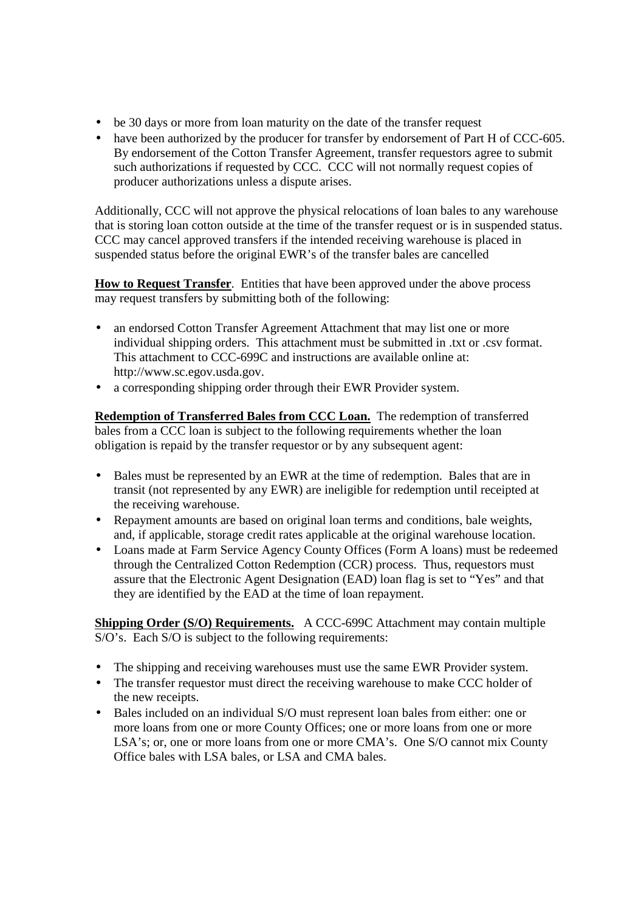- be 30 days or more from loan maturity on the date of the transfer request
- have been authorized by the producer for transfer by endorsement of Part H of CCC-605. By endorsement of the Cotton Transfer Agreement, transfer requestors agree to submit such authorizations if requested by CCC. CCC will not normally request copies of producer authorizations unless a dispute arises.

Additionally, CCC will not approve the physical relocations of loan bales to any warehouse that is storing loan cotton outside at the time of the transfer request or is in suspended status. CCC may cancel approved transfers if the intended receiving warehouse is placed in suspended status before the original EWR's of the transfer bales are cancelled

**How to Request Transfer**. Entities that have been approved under the above process may request transfers by submitting both of the following:

- an endorsed Cotton Transfer Agreement Attachment that may list one or more individual shipping orders. This attachment must be submitted in .txt or .csv format. This attachment to CCC-699C and instructions are available online at: http://www.sc.egov.usda.gov.
- a corresponding shipping order through their EWR Provider system.

**Redemption of Transferred Bales from CCC Loan.** The redemption of transferred bales from a CCC loan is subject to the following requirements whether the loan obligation is repaid by the transfer requestor or by any subsequent agent:

- Bales must be represented by an EWR at the time of redemption. Bales that are in transit (not represented by any EWR) are ineligible for redemption until receipted at the receiving warehouse.
- Repayment amounts are based on original loan terms and conditions, bale weights, and, if applicable, storage credit rates applicable at the original warehouse location.
- Loans made at Farm Service Agency County Offices (Form A loans) must be redeemed through the Centralized Cotton Redemption (CCR) process. Thus, requestors must assure that the Electronic Agent Designation (EAD) loan flag is set to "Yes" and that they are identified by the EAD at the time of loan repayment.

**Shipping Order (S/O) Requirements.** A CCC-699C Attachment may contain multiple S/O's. Each S/O is subject to the following requirements:

- The shipping and receiving warehouses must use the same EWR Provider system.
- The transfer requestor must direct the receiving warehouse to make CCC holder of the new receipts.
- Bales included on an individual S/O must represent loan bales from either: one or more loans from one or more County Offices; one or more loans from one or more LSA's; or, one or more loans from one or more CMA's. One S/O cannot mix County Office bales with LSA bales, or LSA and CMA bales.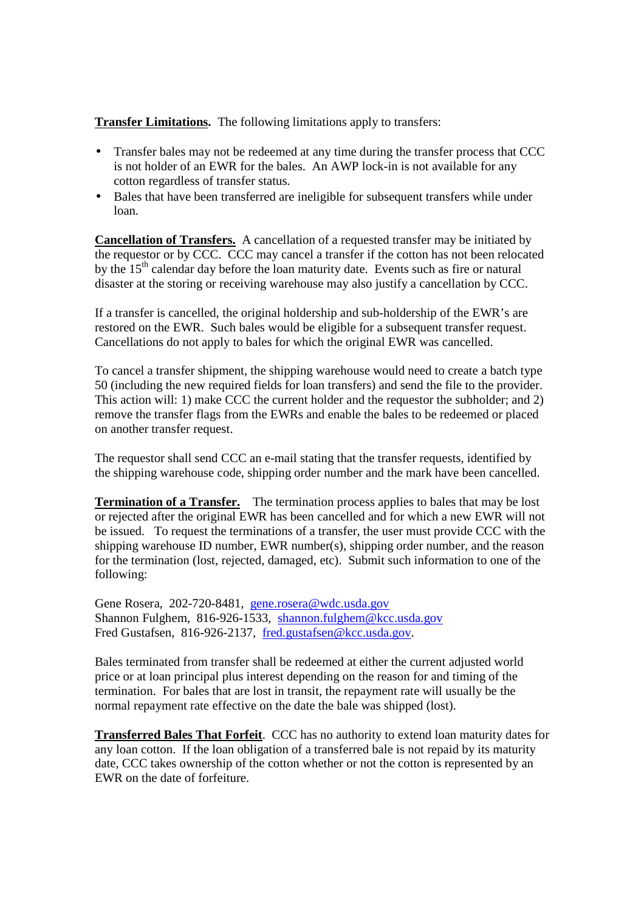## **Transfer Limitations.** The following limitations apply to transfers:

- Transfer bales may not be redeemed at any time during the transfer process that CCC is not holder of an EWR for the bales. An AWP lock-in is not available for any cotton regardless of transfer status.
- Bales that have been transferred are ineligible for subsequent transfers while under loan.

**Cancellation of Transfers.** A cancellation of a requested transfer may be initiated by the requestor or by CCC. CCC may cancel a transfer if the cotton has not been relocated by the  $15<sup>th</sup>$  calendar day before the loan maturity date. Events such as fire or natural disaster at the storing or receiving warehouse may also justify a cancellation by CCC.

If a transfer is cancelled, the original holdership and sub-holdership of the EWR's are restored on the EWR. Such bales would be eligible for a subsequent transfer request. Cancellations do not apply to bales for which the original EWR was cancelled.

To cancel a transfer shipment, the shipping warehouse would need to create a batch type 50 (including the new required fields for loan transfers) and send the file to the provider. This action will: 1) make CCC the current holder and the requestor the subholder; and 2) remove the transfer flags from the EWRs and enable the bales to be redeemed or placed on another transfer request.

The requestor shall send CCC an e-mail stating that the transfer requests, identified by the shipping warehouse code, shipping order number and the mark have been cancelled.

**Termination of a Transfer.** The termination process applies to bales that may be lost or rejected after the original EWR has been cancelled and for which a new EWR will not be issued. To request the terminations of a transfer, the user must provide CCC with the shipping warehouse ID number, EWR number(s), shipping order number, and the reason for the termination (lost, rejected, damaged, etc). Submit such information to one of the following:

Gene Rosera, 202-720-8481, gene.rosera@wdc.usda.gov Shannon Fulghem, 816-926-1533, shannon.fulghem@kcc.usda.gov Fred Gustafsen, 816-926-2137, fred.gustafsen@kcc.usda.gov.

Bales terminated from transfer shall be redeemed at either the current adjusted world price or at loan principal plus interest depending on the reason for and timing of the termination. For bales that are lost in transit, the repayment rate will usually be the normal repayment rate effective on the date the bale was shipped (lost).

**Transferred Bales That Forfeit**. CCC has no authority to extend loan maturity dates for any loan cotton. If the loan obligation of a transferred bale is not repaid by its maturity date, CCC takes ownership of the cotton whether or not the cotton is represented by an EWR on the date of forfeiture.